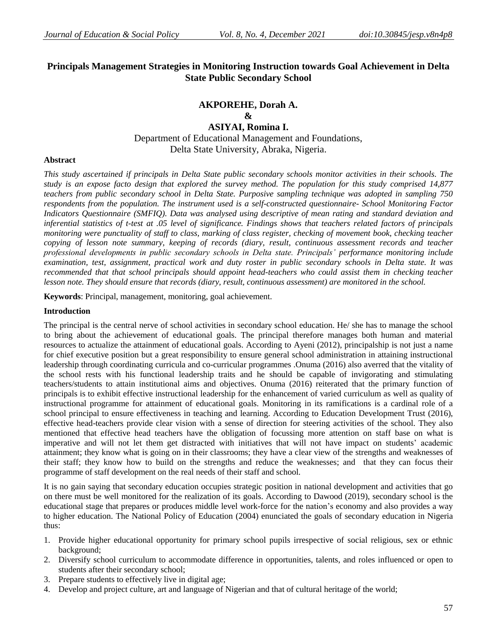# **Principals Management Strategies in Monitoring Instruction towards Goal Achievement in Delta State Public Secondary School**

# **AKPOREHE, Dorah A. & ASIYAI, Romina I.** Department of Educational Management and Foundations, Delta State University, Abraka, Nigeria.

#### **Abstract**

*This study ascertained if principals in Delta State public secondary schools monitor activities in their schools. The study is an expose facto design that explored the survey method. The population for this study comprised 14,877 teachers from public secondary school in Delta State. Purposive sampling technique was adopted in sampling 750 respondents from the population. The instrument used is a self-constructed questionnaire- School Monitoring Factor Indicators Questionnaire (SMFIQ). Data was analysed using descriptive of mean rating and standard deviation and inferential statistics of t-test at .05 level of significance. Findings shows that teachers related factors of principals monitoring were punctuality of staff to class, marking of class register, checking of movement book, checking teacher copying of lesson note summary, keeping of records (diary, result, continuous assessment records and teacher professional developments in public secondary schools in Delta state. Principals' performance monitoring include examination, test, assignment, practical work and duty roster in public secondary schools in Delta state. It was recommended that that school principals should appoint head-teachers who could assist them in checking teacher lesson note. They should ensure that records (diary, result, continuous assessment) are monitored in the school.*

**Keywords**: Principal, management, monitoring, goal achievement.

#### **Introduction**

The principal is the central nerve of school activities in secondary school education. He/ she has to manage the school to bring about the achievement of educational goals. The principal therefore manages both human and material resources to actualize the attainment of educational goals. According to Ayeni (2012), principalship is not just a name for chief executive position but a great responsibility to ensure general school administration in attaining instructional leadership through coordinating curricula and co-curricular programmes .Onuma (2016) also averred that the vitality of the school rests with his functional leadership traits and he should be capable of invigorating and stimulating teachers/students to attain institutional aims and objectives. Onuma (2016) reiterated that the primary function of principals is to exhibit effective instructional leadership for the enhancement of varied curriculum as well as quality of instructional programme for attainment of educational goals. Monitoring in its ramifications is a cardinal role of a school principal to ensure effectiveness in teaching and learning. According to Education Development Trust (2016), effective head-teachers provide clear vision with a sense of direction for steering activities of the school. They also mentioned that effective head teachers have the obligation of focussing more attention on staff base on what is imperative and will not let them get distracted with initiatives that will not have impact on students' academic attainment; they know what is going on in their classrooms; they have a clear view of the strengths and weaknesses of their staff; they know how to build on the strengths and reduce the weaknesses; and that they can focus their programme of staff development on the real needs of their staff and school.

It is no gain saying that secondary education occupies strategic position in national development and activities that go on there must be well monitored for the realization of its goals. According to Dawood (2019), secondary school is the educational stage that prepares or produces middle level work-force for the nation's economy and also provides a way to higher education. The National Policy of Education (2004) enunciated the goals of secondary education in Nigeria thus:

- 1. Provide higher educational opportunity for primary school pupils irrespective of social religious, sex or ethnic background;
- 2. Diversify school curriculum to accommodate difference in opportunities, talents, and roles influenced or open to students after their secondary school;
- 3. Prepare students to effectively live in digital age;
- 4. Develop and project culture, art and language of Nigerian and that of cultural heritage of the world;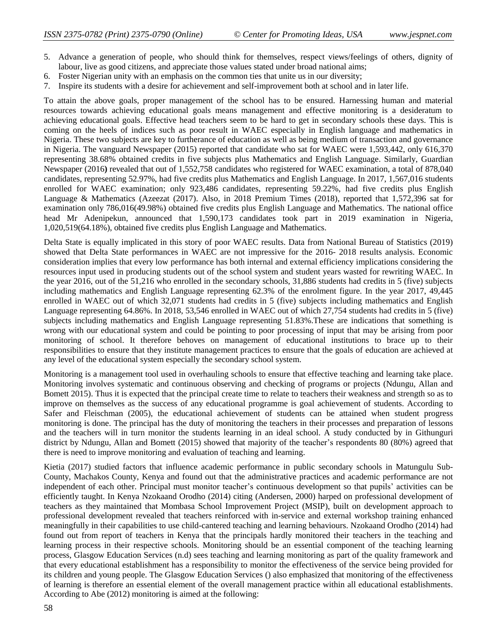- 5. Advance a generation of people, who should think for themselves, respect views/feelings of others, dignity of labour, live as good citizens, and appreciate those values stated under broad national aims;
- 6. Foster Nigerian unity with an emphasis on the common ties that unite us in our diversity;
- 7. Inspire its students with a desire for achievement and self-improvement both at school and in later life.

To attain the above goals, proper management of the school has to be ensured. Harnessing human and material resources towards achieving educational goals means management and effective monitoring is a desideratum to achieving educational goals. Effective head teachers seem to be hard to get in secondary schools these days. This is coming on the heels of indices such as poor result in WAEC especially in English language and mathematics in Nigeria. These two subjects are key to furtherance of education as well as being medium of transaction and governance in Nigeria. The vanguard Newspaper (2015) reported that candidate who sat for WAEC were 1,593,442, only 616,370 representing 38.68% obtained credits in five subjects plus Mathematics and English Language. Similarly, Guardian Newspaper (2016**)** revealed that out of 1,552,758 candidates who registered for WAEC examination, a total of 878,040 candidates, representing 52.97%, had five credits plus Mathematics and English Language. In 2017, 1,567,016 students enrolled for WAEC examination; only 923,486 candidates, representing 59.22%, had five credits plus English Language & Mathematics (Azeezat (2017). Also, in 2018 Premium Times (2018), reported that 1,572,396 sat for examination only 786,016(49.98%) obtained five credits plus English Language and Mathematics. The national office head Mr Adenipekun, announced that 1,590,173 candidates took part in 2019 examination in Nigeria, 1,020,519(64.18%), obtained five credits plus English Language and Mathematics.

Delta State is equally implicated in this story of poor WAEC results. Data from National Bureau of Statistics (2019) showed that Delta State performances in WAEC are not impressive for the 2016- 2018 results analysis. Economic consideration implies that every low performance has both internal and external efficiency implications considering the resources input used in producing students out of the school system and student years wasted for rewriting WAEC. In the year 2016, out of the 51,216 who enrolled in the secondary schools, 31,886 students had credits in 5 (five) subjects including mathematics and English Language representing 62.3% of the enrolment figure. In the year 2017, 49,445 enrolled in WAEC out of which 32,071 students had credits in 5 (five) subjects including mathematics and English Language representing 64.86%. In 2018, 53,546 enrolled in WAEC out of which 27,754 students had credits in 5 (five) subjects including mathematics and English Language representing 51.83%.These are indications that something is wrong with our educational system and could be pointing to poor processing of input that may be arising from poor monitoring of school. It therefore behoves on management of educational institutions to brace up to their responsibilities to ensure that they institute management practices to ensure that the goals of education are achieved at any level of the educational system especially the secondary school system.

Monitoring is a management tool used in overhauling schools to ensure that effective teaching and learning take place. Monitoring involves systematic and continuous observing and checking of programs or projects (Ndungu, Allan and Bomett 2015). Thus it is expected that the principal create time to relate to teachers their weakness and strength so as to improve on themselves as the success of any educational programme is goal achievement of students. According to Safer and Fleischman (2005), the educational achievement of students can be attained when student progress monitoring is done. The principal has the duty of monitoring the teachers in their processes and preparation of lessons and the teachers will in turn monitor the students learning in an ideal school. A study conducted by in Githunguri district by Ndungu, Allan and Bomett (2015) showed that majority of the teacher's respondents 80 (80%) agreed that there is need to improve monitoring and evaluation of teaching and learning.

Kietia (2017) studied factors that influence academic performance in public secondary schools in Matungulu Sub-County, Machakos County, Kenya and found out that the administrative practices and academic performance are not independent of each other. Principal must monitor teacher's continuous development so that pupils' activities can be efficiently taught. In Kenya Nzokaand Orodho (2014) citing (Andersen, 2000) harped on professional development of teachers as they maintained that Mombasa School Improvement Project (MSIP), built on development approach to professional development revealed that teachers reinforced with in-service and external workshop training enhanced meaningfully in their capabilities to use child-cantered teaching and learning behaviours. Nzokaand Orodho (2014) had found out from report of teachers in Kenya that the principals hardly monitored their teachers in the teaching and learning process in their respective schools. Monitoring should be an essential component of the teaching learning process, Glasgow Education Services (n.d) sees teaching and learning monitoring as part of the quality framework and that every educational establishment has a responsibility to monitor the effectiveness of the service being provided for its children and young people. The Glasgow Education Services () also emphasized that monitoring of the effectiveness of learning is therefore an essential element of the overall management practice within all educational establishments. According to Abe (2012) monitoring is aimed at the following: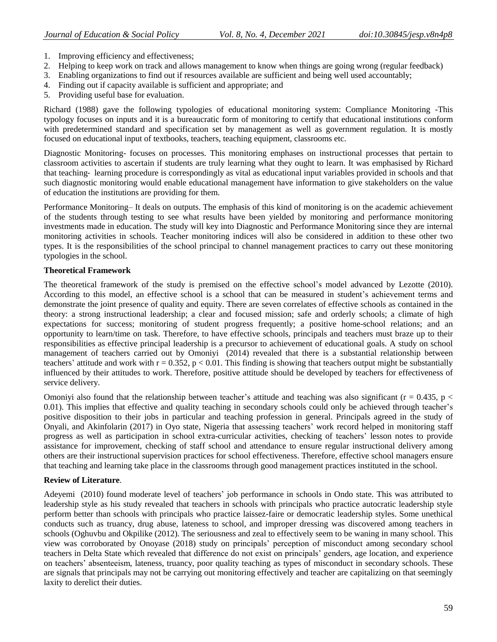- 1. Improving efficiency and effectiveness;
- 2. Helping to keep work on track and allows management to know when things are going wrong (regular feedback)
- 3. Enabling organizations to find out if resources available are sufficient and being well used accountably;
- 4. Finding out if capacity available is sufficient and appropriate; and
- 5. Providing useful base for evaluation.

Richard (1988) gave the following typologies of educational monitoring system: Compliance Monitoring -This typology focuses on inputs and it is a bureaucratic form of monitoring to certify that educational institutions conform with predetermined standard and specification set by management as well as government regulation. It is mostly focused on educational input of textbooks, teachers, teaching equipment, classrooms etc.

Diagnostic Monitoring- focuses on processes. This monitoring emphases on instructional processes that pertain to classroom activities to ascertain if students are truly learning what they ought to learn. It was emphasised by Richard that teaching‐ learning procedure is correspondingly as vital as educational input variables provided in schools and that such diagnostic monitoring would enable educational management have information to give stakeholders on the value of education the institutions are providing for them.

Performance Monitoring– It deals on outputs. The emphasis of this kind of monitoring is on the academic achievement of the students through testing to see what results have been yielded by monitoring and performance monitoring investments made in education. The study will key into Diagnostic and Performance Monitoring since they are internal monitoring activities in schools. Teacher monitoring indices will also be considered in addition to these other two types. It is the responsibilities of the school principal to channel management practices to carry out these monitoring typologies in the school.

### **Theoretical Framework**

The theoretical framework of the study is premised on the effective school's model advanced by Lezotte (2010). According to this model, an effective school is a school that can be measured in student's achievement terms and demonstrate the joint presence of quality and equity. There are seven correlates of effective schools as contained in the theory: a strong instructional leadership; a clear and focused mission; safe and orderly schools; a climate of high expectations for success; monitoring of student progress frequently; a positive home-school relations; and an opportunity to learn/time on task. Therefore, to have effective schools, principals and teachers must braze up to their responsibilities as effective principal leadership is a precursor to achievement of educational goals. A study on school management of teachers carried out by Omoniyi (2014) revealed that there is a substantial relationship between teachers' attitude and work with  $r = 0.352$ ,  $p < 0.01$ . This finding is showing that teachers output might be substantially influenced by their attitudes to work. Therefore, positive attitude should be developed by teachers for effectiveness of service delivery.

Omoniyi also found that the relationship between teacher's attitude and teaching was also significant ( $r = 0.435$ ,  $p <$ 0.01). This implies that effective and quality teaching in secondary schools could only be achieved through teacher's positive disposition to their jobs in particular and teaching profession in general. Principals agreed in the study of Onyali, and Akinfolarin (2017) in Oyo state, Nigeria that assessing teachers' work record helped in monitoring staff progress as well as participation in school extra-curricular activities, checking of teachers' lesson notes to provide assistance for improvement, checking of staff school and attendance to ensure regular instructional delivery among others are their instructional supervision practices for school effectiveness. Therefore, effective school managers ensure that teaching and learning take place in the classrooms through good management practices instituted in the school.

## **Review of Literature**.

Adeyemi (2010) found moderate level of teachers' job performance in schools in Ondo state. This was attributed to leadership style as his study revealed that teachers in schools with principals who practice autocratic leadership style perform better than schools with principals who practice laissez-faire or democratic leadership styles. Some unethical conducts such as truancy, drug abuse, lateness to school, and improper dressing was discovered among teachers in schools (Oghuvbu and Okpilike (2012). The seriousness and zeal to effectively seem to be waning in many school. This view was corroborated by Onoyase (2018) study on principals' perception of misconduct among secondary school teachers in Delta State which revealed that difference do not exist on principals' genders, age location, and experience on teachers' absenteeism, lateness, truancy, poor quality teaching as types of misconduct in secondary schools. These are signals that principals may not be carrying out monitoring effectively and teacher are capitalizing on that seemingly laxity to derelict their duties.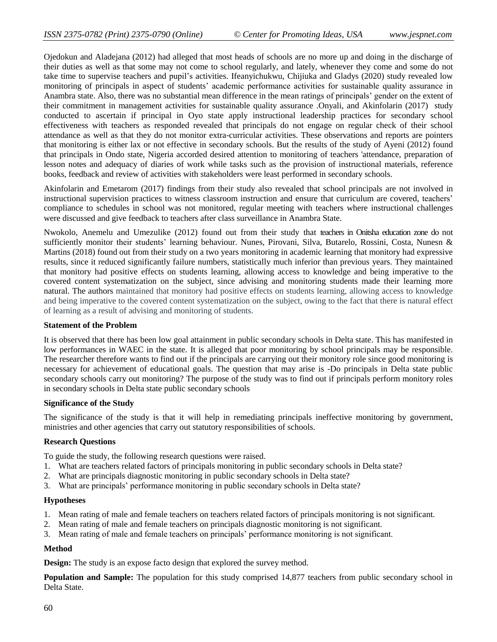Ojedokun and Aladejana (2012) had alleged that most heads of schools are no more up and doing in the discharge of their duties as well as that some may not come to school regularly, and lately, whenever they come and some do not take time to supervise teachers and pupil's activities. Ifeanyichukwu, Chijiuka and Gladys (2020) study revealed low monitoring of principals in aspect of students' academic performance activities for sustainable quality assurance in Anambra state. Also, there was no substantial mean difference in the mean ratings of principals' gender on the extent of their commitment in management activities for sustainable quality assurance .Onyali, and Akinfolarin (2017) study conducted to ascertain if principal in Oyo state apply instructional leadership practices for secondary school effectiveness with teachers as responded revealed that principals do not engage on regular check of their school attendance as well as that they do not monitor extra-curricular activities. These observations and reports are pointers that monitoring is either lax or not effective in secondary schools. But the results of the study of Ayeni (2012) found that principals in Ondo state, Nigeria accorded desired attention to monitoring of teachers 'attendance, preparation of lesson notes and adequacy of diaries of work while tasks such as the provision of instructional materials, reference books, feedback and review of activities with stakeholders were least performed in secondary schools.

Akinfolarin and Emetarom (2017) findings from their study also revealed that school principals are not involved in instructional supervision practices to witness classroom instruction and ensure that curriculum are covered, teachers' compliance to schedules in school was not monitored, regular meeting with teachers where instructional challenges were discussed and give feedback to teachers after class surveillance in Anambra State.

Nwokolo, Anemelu and Umezulike (2012) found out from their study that teachers in Onitsha education zone do not sufficiently monitor their students' learning behaviour. Nunes, Pirovani, Silva, Butarelo, Rossini, Costa, Nunesn & Martins (2018) found out from their study on a two years monitoring in academic learning that monitory had expressive results, since it reduced significantly failure numbers, statistically much inferior than previous years. They maintained that monitory had positive effects on students learning, allowing access to knowledge and being imperative to the covered content systematization on the subject, since advising and monitoring students made their learning more natural. The authors maintained that monitory had positive effects on students learning, allowing access to knowledge and being imperative to the covered content systematization on the subject, owing to the fact that there is natural effect of learning as a result of advising and monitoring of students.

### **Statement of the Problem**

It is observed that there has been low goal attainment in public secondary schools in Delta state. This has manifested in low performances in WAEC in the state. It is alleged that poor monitoring by school principals may be responsible. The researcher therefore wants to find out if the principals are carrying out their monitory role since good monitoring is necessary for achievement of educational goals. The question that may arise is -Do principals in Delta state public secondary schools carry out monitoring? The purpose of the study was to find out if principals perform monitory roles in secondary schools in Delta state public secondary schools

### **Significance of the Study**

The significance of the study is that it will help in remediating principals ineffective monitoring by government, ministries and other agencies that carry out statutory responsibilities of schools.

### **Research Questions**

To guide the study, the following research questions were raised.

- 1. What are teachers related factors of principals monitoring in public secondary schools in Delta state?
- 2. What are principals diagnostic monitoring in public secondary schools in Delta state?
- 3. What are principals' performance monitoring in public secondary schools in Delta state?

#### **Hypotheses**

- 1. Mean rating of male and female teachers on teachers related factors of principals monitoring is not significant.
- 2. Mean rating of male and female teachers on principals diagnostic monitoring is not significant.
- 3. Mean rating of male and female teachers on principals' performance monitoring is not significant.

### **Method**

**Design:** The study is an expose facto design that explored the survey method.

**Population and Sample:** The population for this study comprised 14,877 teachers from public secondary school in Delta State.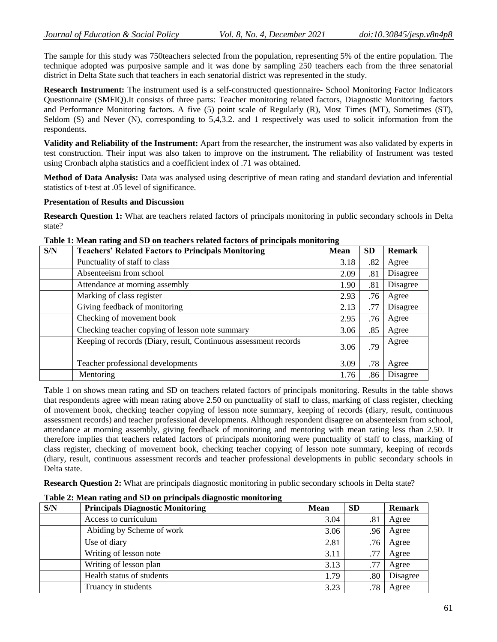The sample for this study was 750teachers selected from the population, representing 5% of the entire population. The technique adopted was purposive sample and it was done by sampling 250 teachers each from the three senatorial district in Delta State such that teachers in each senatorial district was represented in the study.

**Research Instrument:** The instrument used is a self-constructed questionnaire- School Monitoring Factor Indicators Questionnaire (SMFIQ).It consists of three parts: Teacher monitoring related factors, Diagnostic Monitoring factors and Performance Monitoring factors. A five (5) point scale of Regularly (R), Most Times (MT), Sometimes (ST), Seldom (S) and Never (N), corresponding to 5,4,3.2. and 1 respectively was used to solicit information from the respondents.

**Validity and Reliability of the Instrument:** Apart from the researcher, the instrument was also validated by experts in test construction. Their input was also taken to improve on the instrument**.** The reliability of Instrument was tested using Cronbach alpha statistics and a coefficient index of .71 was obtained.

**Method of Data Analysis:** Data was analysed using descriptive of mean rating and standard deviation and inferential statistics of t-test at .05 level of significance.

## **Presentation of Results and Discussion**

**Research Question 1:** What are teachers related factors of principals monitoring in public secondary schools in Delta state?

| S/N | <b>Teachers' Related Factors to Principals Monitoring</b>        | <b>Mean</b> | <b>SD</b> | <b>Remark</b> |
|-----|------------------------------------------------------------------|-------------|-----------|---------------|
|     | Punctuality of staff to class                                    | 3.18        | .82       | Agree         |
|     | Absenteeism from school                                          | 2.09        | .81       | Disagree      |
|     | Attendance at morning assembly                                   | 1.90        | .81       | Disagree      |
|     | Marking of class register                                        | 2.93        | .76       | Agree         |
|     | Giving feedback of monitoring                                    | 2.13        | .77       | Disagree      |
|     | Checking of movement book                                        | 2.95        | .76       | Agree         |
|     | Checking teacher copying of lesson note summary                  | 3.06        | .85       | Agree         |
|     | Keeping of records (Diary, result, Continuous assessment records | 3.06        | .79       | Agree         |
|     | Teacher professional developments                                | 3.09        | .78       | Agree         |
|     | Mentoring                                                        | 1.76        | .86       | Disagree      |

# **Table 1: Mean rating and SD on teachers related factors of principals monitoring**

Table 1 on shows mean rating and SD on teachers related factors of principals monitoring. Results in the table shows that respondents agree with mean rating above 2.50 on punctuality of staff to class, marking of class register, checking of movement book, checking teacher copying of lesson note summary, keeping of records (diary, result, continuous assessment records) and teacher professional developments. Although respondent disagree on absenteeism from school, attendance at morning assembly, giving feedback of monitoring and mentoring with mean rating less than 2.50. It therefore implies that teachers related factors of principals monitoring were punctuality of staff to class, marking of class register, checking of movement book, checking teacher copying of lesson note summary, keeping of records (diary, result, continuous assessment records and teacher professional developments in public secondary schools in Delta state.

**Research Question 2:** What are principals diagnostic monitoring in public secondary schools in Delta state?

| S/N | <b>Principals Diagnostic Monitoring</b> | <b>Mean</b> | <b>SD</b> | <b>Remark</b> |
|-----|-----------------------------------------|-------------|-----------|---------------|
|     | Access to curriculum                    | 3.04        | .81       | Agree         |
|     | Abiding by Scheme of work               | 3.06        | .96       | Agree         |
|     | Use of diary                            | 2.81        | .76       | Agree         |
|     | Writing of lesson note                  | 3.11        | .77       | Agree         |
|     | Writing of lesson plan                  | 3.13        | .77       | Agree         |
|     | Health status of students               | 1.79        | .80       | Disagree      |
|     | Truancy in students                     | 3.23        | .78       | Agree         |

**Table 2: Mean rating and SD on principals diagnostic monitoring**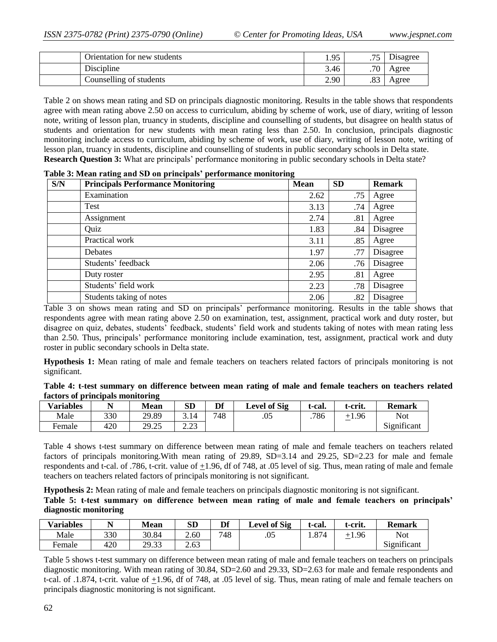| Orientation for new students | . $Qz$<br>1. | $\overline{\phantom{a}}$ | Disagree |
|------------------------------|--------------|--------------------------|----------|
| Discipline                   | 3.46         | .70                      | Agree    |
| Counselling of students      | 2.90         | oο<br>.o.                | Agree    |

Table 2 on shows mean rating and SD on principals diagnostic monitoring. Results in the table shows that respondents agree with mean rating above 2.50 on access to curriculum, abiding by scheme of work, use of diary, writing of lesson note, writing of lesson plan, truancy in students, discipline and counselling of students, but disagree on health status of students and orientation for new students with mean rating less than 2.50. In conclusion, principals diagnostic monitoring include access to curriculum, abiding by scheme of work, use of diary, writing of lesson note, writing of lesson plan, truancy in students, discipline and counselling of students in public secondary schools in Delta state. **Research Question 3:** What are principals' performance monitoring in public secondary schools in Delta state?

| S/N | <b>Principals Performance Monitoring</b> | <b>Mean</b> | <b>SD</b> | <b>Remark</b> |
|-----|------------------------------------------|-------------|-----------|---------------|
|     | Examination                              | 2.62        | .75       | Agree         |
|     | Test                                     | 3.13        | .74       | Agree         |
|     | Assignment                               | 2.74        | .81       | Agree         |
|     | Quiz                                     | 1.83        | .84       | Disagree      |
|     | Practical work                           | 3.11        | .85       | Agree         |
|     | <b>Debates</b>                           | 1.97        | .77       | Disagree      |
|     | Students' feedback                       | 2.06        | .76       | Disagree      |
|     | Duty roster                              | 2.95        | .81       | Agree         |
|     | Students' field work                     | 2.23        | .78       | Disagree      |
|     | Students taking of notes                 | 2.06        | .82       | Disagree      |

**Table 3: Mean rating and SD on principals' performance monitoring**

Table 3 on shows mean rating and SD on principals' performance monitoring. Results in the table shows that respondents agree with mean rating above 2.50 on examination, test, assignment, practical work and duty roster, but disagree on quiz, debates, students' feedback, students' field work and students taking of notes with mean rating less than 2.50. Thus, principals' performance monitoring include examination, test, assignment, practical work and duty roster in public secondary schools in Delta state.

**Hypothesis 1:** Mean rating of male and female teachers on teachers related factors of principals monitoring is not significant.

|                                  |  | Table 4: t-test summary on difference between mean rating of male and female teachers on teachers related |  |  |  |  |  |  |
|----------------------------------|--|-----------------------------------------------------------------------------------------------------------|--|--|--|--|--|--|
| factors of principals monitoring |  |                                                                                                           |  |  |  |  |  |  |

| <b>Variables</b> |     | <b>Mean</b>      | <b>SD</b>       | Df  | <b>Level of Sig</b> | <sup>+</sup> -cal. | t-crit.      | <b>Remark</b>                       |
|------------------|-----|------------------|-----------------|-----|---------------------|--------------------|--------------|-------------------------------------|
| Male             | 330 | 29.89            | 3.14            | 748 | .05                 | 786                | $+1.96$<br>- | <b>Not</b>                          |
| Female           | 420 | 29.25<br>رے . دے | າ າາ<br>ر ے . ب |     |                     |                    |              | $\cdot$ $\sim$<br>n.<br>Significant |

Table 4 shows t-test summary on difference between mean rating of male and female teachers on teachers related factors of principals monitoring. With mean rating of 29.89, SD=3.14 and 29.25, SD=2.23 for male and female respondents and t-cal. of .786, t-crit. value of +1.96, df of 748, at .05 level of sig. Thus, mean rating of male and female teachers on teachers related factors of principals monitoring is not significant.

**Hypothesis 2:** Mean rating of male and female teachers on principals diagnostic monitoring is not significant. **Table 5: t-test summary on difference between mean rating of male and female teachers on principals' diagnostic monitoring**

| <b>Variables</b> |     | <b>Mean</b> | <b>SD</b> | Df  | <b>Level of Sig</b> | -cal. | t-crit.                             | <b>Remark</b> |
|------------------|-----|-------------|-----------|-----|---------------------|-------|-------------------------------------|---------------|
| Male             | 330 | 30.84       | 2.60      | 748 | .05                 | . 874 | $+1.96$<br>$\overline{\phantom{0}}$ | Not           |
| Female           | 420 | 29.33       | 2.63      |     |                     |       |                                     | Significant   |

Table 5 shows t-test summary on difference between mean rating of male and female teachers on teachers on principals diagnostic monitoring. With mean rating of 30.84, SD=2.60 and 29.33, SD=2.63 for male and female respondents and t-cal. of .1.874, t-crit. value of +1.96, df of 748, at .05 level of sig. Thus, mean rating of male and female teachers on principals diagnostic monitoring is not significant.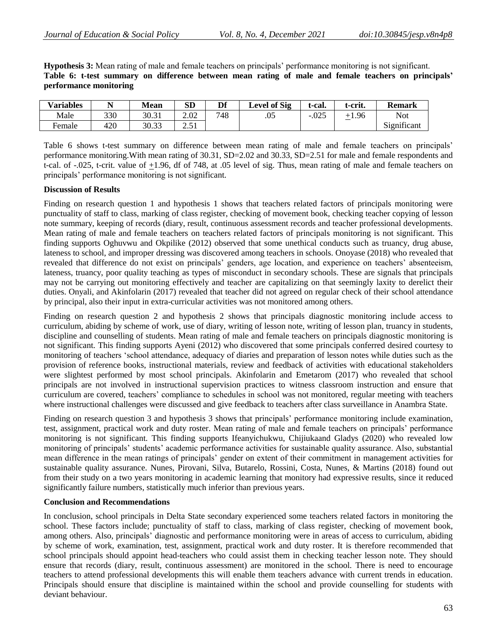**Hypothesis 3:** Mean rating of male and female teachers on principals' performance monitoring is not significant. **Table 6: t-test summary on difference between mean rating of male and female teachers on principals' performance monitoring**

| <b>Variables</b> |     | <b>Mean</b> | SD                                      | Df  | <b>Level of Sig</b> | t-cal.  | t-crit. | <b>Remark</b> |
|------------------|-----|-------------|-----------------------------------------|-----|---------------------|---------|---------|---------------|
| Male             | 330 | 30.31       | 2.02                                    | 748 | .05                 | $-.025$ | +1.96   | <b>Not</b>    |
| Female           | 420 | 30.33       | ۰ ه.<br>$\overline{a}$ . $\overline{a}$ |     |                     |         |         | Significant   |

Table 6 shows t-test summary on difference between mean rating of male and female teachers on principals' performance monitoring.With mean rating of 30.31, SD=2.02 and 30.33, SD=2.51 for male and female respondents and t-cal. of -.025, t-crit. value of +1.96, df of 748, at .05 level of sig. Thus, mean rating of male and female teachers on principals' performance monitoring is not significant.

### **Discussion of Results**

Finding on research question 1 and hypothesis 1 shows that teachers related factors of principals monitoring were punctuality of staff to class, marking of class register, checking of movement book, checking teacher copying of lesson note summary, keeping of records (diary, result, continuous assessment records and teacher professional developments. Mean rating of male and female teachers on teachers related factors of principals monitoring is not significant. This finding supports Oghuvwu and Okpilike (2012) observed that some unethical conducts such as truancy, drug abuse, lateness to school, and improper dressing was discovered among teachers in schools. Onoyase (2018) who revealed that revealed that difference do not exist on principals' genders, age location, and experience on teachers' absenteeism, lateness, truancy, poor quality teaching as types of misconduct in secondary schools. These are signals that principals may not be carrying out monitoring effectively and teacher are capitalizing on that seemingly laxity to derelict their duties. Onyali, and Akinfolarin (2017) revealed that teacher did not agreed on regular check of their school attendance by principal, also their input in extra-curricular activities was not monitored among others.

Finding on research question 2 and hypothesis 2 shows that principals diagnostic monitoring include access to curriculum, abiding by scheme of work, use of diary, writing of lesson note, writing of lesson plan, truancy in students, discipline and counselling of students. Mean rating of male and female teachers on principals diagnostic monitoring is not significant. This finding supports Ayeni (2012) who discovered that some principals conferred desired courtesy to monitoring of teachers 'school attendance, adequacy of diaries and preparation of lesson notes while duties such as the provision of reference books, instructional materials, review and feedback of activities with educational stakeholders were slightest performed by most school principals. Akinfolarin and Emetarom (2017) who revealed that school principals are not involved in instructional supervision practices to witness classroom instruction and ensure that curriculum are covered, teachers' compliance to schedules in school was not monitored, regular meeting with teachers where instructional challenges were discussed and give feedback to teachers after class surveillance in Anambra State.

Finding on research question 3 and hypothesis 3 shows that principals' performance monitoring include examination, test, assignment, practical work and duty roster. Mean rating of male and female teachers on principals' performance monitoring is not significant. This finding supports Ifeanyichukwu, Chijiukaand Gladys (2020) who revealed low monitoring of principals' students' academic performance activities for sustainable quality assurance. Also, substantial mean difference in the mean ratings of principals' gender on extent of their commitment in management activities for sustainable quality assurance. Nunes, Pirovani, Silva, Butarelo, Rossini, Costa, Nunes, & Martins (2018) found out from their study on a two years monitoring in academic learning that monitory had expressive results, since it reduced significantly failure numbers, statistically much inferior than previous years.

### **Conclusion and Recommendations**

In conclusion, school principals in Delta State secondary experienced some teachers related factors in monitoring the school. These factors include; punctuality of staff to class, marking of class register, checking of movement book, among others. Also, principals' diagnostic and performance monitoring were in areas of access to curriculum, abiding by scheme of work, examination, test, assignment, practical work and duty roster. It is therefore recommended that school principals should appoint head-teachers who could assist them in checking teacher lesson note. They should ensure that records (diary, result, continuous assessment) are monitored in the school. There is need to encourage teachers to attend professional developments this will enable them teachers advance with current trends in education. Principals should ensure that discipline is maintained within the school and provide counselling for students with deviant behaviour.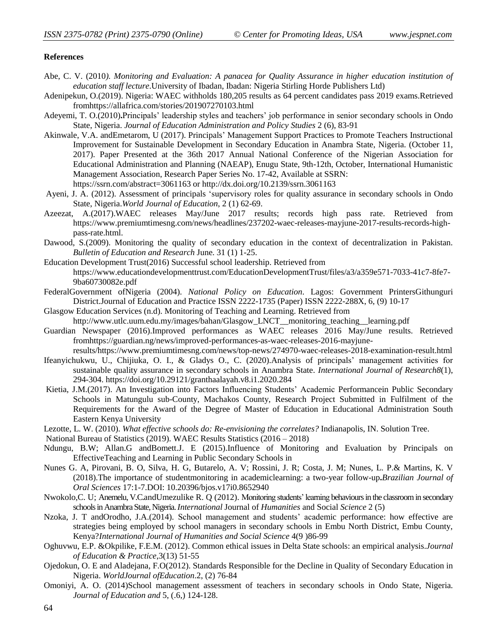#### **References**

- Abe, C. V. (2010*). Monitoring and Evaluation: A panacea for Quality Assurance in higher education institution of education staff lecture*.University of Ibadan, Ibadan: Nigeria Stirling Horde Publishers Ltd)
- Adenipekun, O.(2019). Nigeria: WAEC withholds 180,205 results as 64 percent candidates pass 2019 exams.Retrieved fromhttps://allafrica.com/stories/201907270103.html
- Adeyemi, T. O.(2010)**.**Principals' leadership styles and teachers' job performance in senior secondary schools in Ondo State, Nigeria. *Journal of Education Administration and Policy Studies* 2 (6), 83-91
- Akinwale, V.A. andEmetarom, U (2017). Principals' Management Support Practices to Promote Teachers Instructional Improvement for Sustainable Development in Secondary Education in Anambra State, Nigeria. (October 11, 2017). Paper Presented at the 36th 2017 Annual National Conference of the Nigerian Association for Educational Administration and Planning (NAEAP), Enugu State, 9th-12th, October, International Humanistic Management Association, Research Paper Series No. 17-42, Available at SSRN: <https://ssrn.com/abstract=3061163> or [http://dx.doi.org/10.2139/ssrn.3061163](https://dx.doi.org/10.2139/ssrn.3061163)
- Ayeni, J. A. (2012). Assessment of principals 'supervisory roles for quality assurance in secondary schools in Ondo State, Nigeria.*World Journal of Education*, 2 (1) 62-69.
- Azeezat, A.(2017).WAEC releases May/June 2017 results; records high pass rate. Retrieved from [https://www.premiumtimesng.com/news/headlines/237202-waec-releases-mayjune-2017-results-records-high](https://www.premiumtimesng.com/news/headlines/237202-waec-releases-mayjune-2017-results-records-high-pass-rate.html)[pass-rate.html.](https://www.premiumtimesng.com/news/headlines/237202-waec-releases-mayjune-2017-results-records-high-pass-rate.html)
- Dawood, S.(2009). Monitoring the quality of secondary education in the context of decentralization in Pakistan. *Bulletin of Education and Research* June. 31 (1) 1-25.
- Education Development Trust(2016) Successful school leadership. Retrieved from https://www.educationdevelopmenttrust.com/EducationDevelopmentTrust/files/a3/a359e571-7033-41c7-8fe7- 9ba60730082e.pdf
- FederalGovernment ofNigeria (2004). *National Policy on Education*. Lagos: Government PrintersGithunguri District.Journal of Education and Practice ISSN 2222-1735 (Paper) ISSN 2222-288X, 6, (9) 10-17
- Glasgow Education Services (n.d). Monitoring of Teaching and Learning. Retrieved from
- http://www.utlc.uum.edu.my/images/bahan/Glasgow\_LNCT\_\_monitoring\_teaching\_\_learning.pdf
- Guardian Newspaper (2016).Improved performances as WAEC releases 2016 May/June results. Retrieved fromhttps://guardian.ng/news/improved-performances-as-waec-releases-2016-mayjune-
- results/https://www.premiumtimesng.com/news/top-news/274970-waec-releases-2018-examination-result.html Ifeanyichukwu, U., Chijiuka, O. I., & Gladys O., C. (2020).Analysis of principals' management activities for sustainable quality assurance in secondary schools in Anambra State. *International Journal of Research8*(1), 294-304. https://doi.org/10.29121/granthaalayah.v8.i1.2020.284
- Kietia, J.M.(2017). An Investigation into Factors Influencing Students' Academic Performancein Public Secondary Schools in Matungulu sub-County, Machakos County, Research Project Submitted in Fulfilment of the Requirements for the Award of the Degree of Master of Education in Educational Administration South Eastern Kenya University
- Lezotte, L. W. (2010). *What effective schools do: Re-envisioning the correlates?* Indianapolis, IN. Solution Tree.
- National Bureau of Statistics (2019). WAEC Results Statistics (2016 2018)
- Ndungu, B.W; Allan.G andBomett.J. E (2015).Influence of Monitoring and Evaluation by Principals on EffectiveTeaching and Learning in Public Secondary Schools in
- Nunes G. A, Pirovani, B. O, Silva, H. G, Butarelo, A. V; Rossini, J. R; Costa, J. M; Nunes, L. P.& Martins, K. V (2018).The importance of studentmonitoring in academiclearning: a two-year follow-up**.***Brazilian Journal of Oral Sciences* 17:1-7.DOI: 10.20396/bjos.v17i0.8652940
- Nwokolo,C. U; Anemelu, V.C.andUmezulike R. Q (2012). Monitoring students' learning behaviours in the classroom in secondary schools in AnambraState, Nigeria. *International* Journal of *Humanities* and Social *Science* 2 (5)
- Nzoka, J. T andOrodho, J.A.(2014). School management and students' academic performance: how effective are strategies being employed by school managers in secondary schools in Embu North District, Embu County, Kenya?*International Journal of Humanities and Social Science* 4(9 )86-99
- Oghuvwu, E.P. &Okpilike, F.E.M. (2012). Common ethical issues in Delta State schools: an empirical analysis.*Journal of Education & Practice*,3(13) 51-55
- Ojedokun, O. E and Aladejana, F.O(2012). Standards Responsible for the Decline in Quality of Secondary Education in Nigeria. *WorldJournal ofEducation*.2, (2) 76-84
- Omoniyi, A. O. (2014)School management assessment of teachers in secondary schools in Ondo State, Nigeria. *Journal of Education and* 5, (.6,) 124-128.